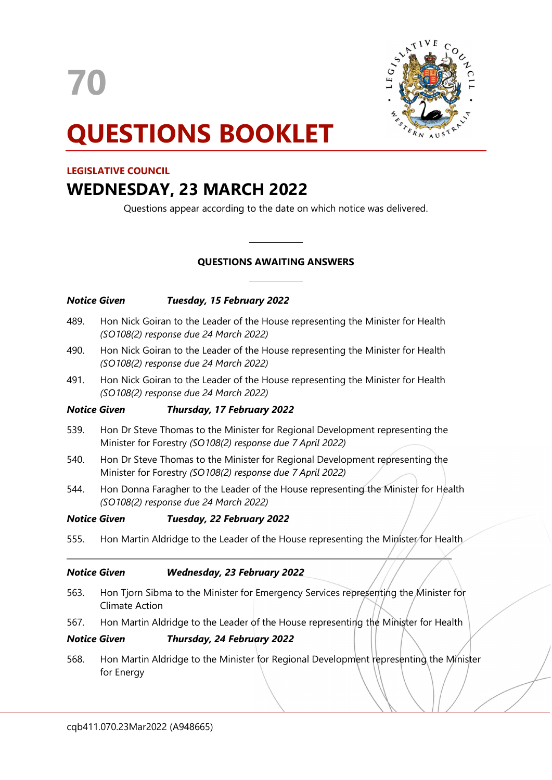70



# QUESTIONS BOOKLET

# LEGISLATIVE COUNCIL

# WEDNESDAY, 23 MARCH 2022

Questions appear according to the date on which notice was delivered.

# QUESTIONS AWAITING ANSWERS

 $\overline{a}$ 

 $\overline{a}$ 

|                     | <b>Notice Given</b>                                                                                                                         | Tuesday, 15 February 2022                                                              |
|---------------------|---------------------------------------------------------------------------------------------------------------------------------------------|----------------------------------------------------------------------------------------|
| 489.                | Hon Nick Goiran to the Leader of the House representing the Minister for Health<br>(SO108(2) response due 24 March 2022)                    |                                                                                        |
| 490.                | Hon Nick Goiran to the Leader of the House representing the Minister for Health<br>(SO108(2) response due 24 March 2022)                    |                                                                                        |
| 491.                | Hon Nick Goiran to the Leader of the House representing the Minister for Health<br>(SO108(2) response due 24 March 2022)                    |                                                                                        |
| <b>Notice Given</b> |                                                                                                                                             | Thursday, 17 February 2022                                                             |
| 539.                | Hon Dr Steve Thomas to the Minister for Regional Development representing the<br>Minister for Forestry (SO108(2) response due 7 April 2022) |                                                                                        |
| 540.                | Hon Dr Steve Thomas to the Minister for Regional Development representing the<br>Minister for Forestry (SO108(2) response due 7 April 2022) |                                                                                        |
| 544.                | Hon Donna Faragher to the Leader of the House representing the Minister for Health<br>(SO108(2) response due 24 March 2022)                 |                                                                                        |
|                     | <b>Notice Given</b>                                                                                                                         | Tuesday, 22 February 2022                                                              |
| 555.                |                                                                                                                                             | Hon Martin Aldridge to the Leader of the House representing the Minister for Health    |
|                     | <b>Notice Given</b>                                                                                                                         | <b>Wednesday, 23 February 2022</b>                                                     |
| 563.                | Hon Tjorn Sibma to the Minister for Emergency Services representing the Minister for<br><b>Climate Action</b>                               |                                                                                        |
| 567.                | Hon Martin Aldridge to the Leader of the House representing the Minister for Health                                                         |                                                                                        |
|                     | <b>Notice Given</b>                                                                                                                         | Thursday, 24 February 2022                                                             |
| 568.                | for Energy                                                                                                                                  | Hon Martin Aldridge to the Minister for Regional Development representing the Minister |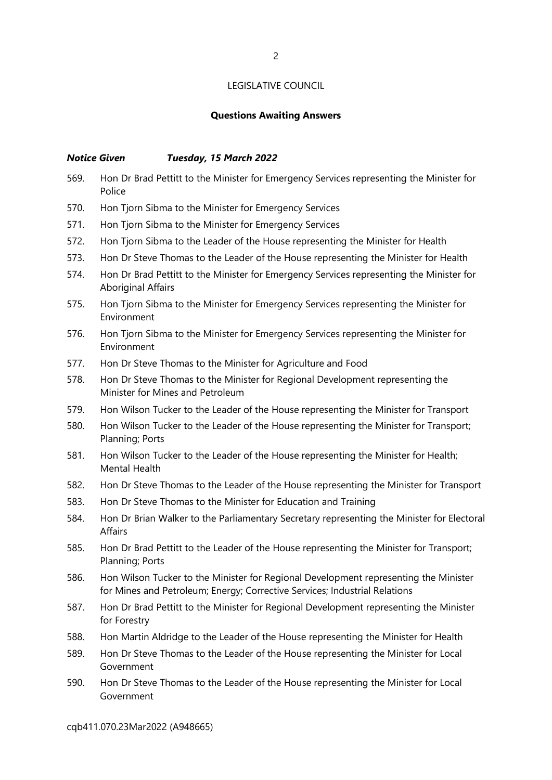#### Questions Awaiting Answers

#### Notice Given Tuesday, 15 March 2022

- 569. Hon Dr Brad Pettitt to the Minister for Emergency Services representing the Minister for **Police**
- 570. Hon Tjorn Sibma to the Minister for Emergency Services
- 571. Hon Tjorn Sibma to the Minister for Emergency Services
- 572. Hon Tjorn Sibma to the Leader of the House representing the Minister for Health
- 573. Hon Dr Steve Thomas to the Leader of the House representing the Minister for Health
- 574. Hon Dr Brad Pettitt to the Minister for Emergency Services representing the Minister for Aboriginal Affairs
- 575. Hon Tjorn Sibma to the Minister for Emergency Services representing the Minister for Environment
- 576. Hon Tjorn Sibma to the Minister for Emergency Services representing the Minister for Environment
- 577. Hon Dr Steve Thomas to the Minister for Agriculture and Food
- 578. Hon Dr Steve Thomas to the Minister for Regional Development representing the Minister for Mines and Petroleum
- 579. Hon Wilson Tucker to the Leader of the House representing the Minister for Transport
- 580. Hon Wilson Tucker to the Leader of the House representing the Minister for Transport; Planning; Ports
- 581. Hon Wilson Tucker to the Leader of the House representing the Minister for Health; Mental Health
- 582. Hon Dr Steve Thomas to the Leader of the House representing the Minister for Transport
- 583. Hon Dr Steve Thomas to the Minister for Education and Training
- 584. Hon Dr Brian Walker to the Parliamentary Secretary representing the Minister for Electoral Affairs
- 585. Hon Dr Brad Pettitt to the Leader of the House representing the Minister for Transport; Planning; Ports
- 586. Hon Wilson Tucker to the Minister for Regional Development representing the Minister for Mines and Petroleum; Energy; Corrective Services; Industrial Relations
- 587. Hon Dr Brad Pettitt to the Minister for Regional Development representing the Minister for Forestry
- 588. Hon Martin Aldridge to the Leader of the House representing the Minister for Health
- 589. Hon Dr Steve Thomas to the Leader of the House representing the Minister for Local Government
- 590. Hon Dr Steve Thomas to the Leader of the House representing the Minister for Local Government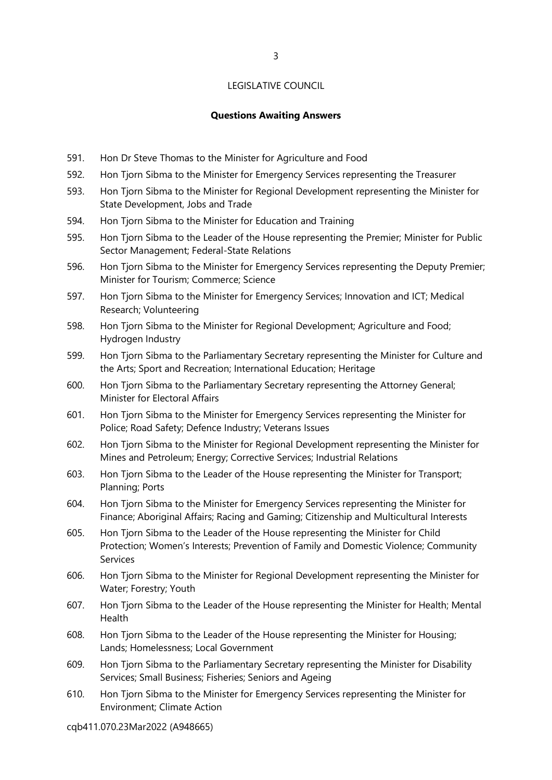3

#### Questions Awaiting Answers

- 591. Hon Dr Steve Thomas to the Minister for Agriculture and Food
- 592. Hon Tjorn Sibma to the Minister for Emergency Services representing the Treasurer
- 593. Hon Tjorn Sibma to the Minister for Regional Development representing the Minister for State Development, Jobs and Trade
- 594. Hon Tjorn Sibma to the Minister for Education and Training
- 595. Hon Tjorn Sibma to the Leader of the House representing the Premier; Minister for Public Sector Management; Federal-State Relations
- 596. Hon Tjorn Sibma to the Minister for Emergency Services representing the Deputy Premier; Minister for Tourism; Commerce; Science
- 597. Hon Tjorn Sibma to the Minister for Emergency Services; Innovation and ICT; Medical Research; Volunteering
- 598. Hon Tjorn Sibma to the Minister for Regional Development; Agriculture and Food; Hydrogen Industry
- 599. Hon Tjorn Sibma to the Parliamentary Secretary representing the Minister for Culture and the Arts; Sport and Recreation; International Education; Heritage
- 600. Hon Tjorn Sibma to the Parliamentary Secretary representing the Attorney General; Minister for Electoral Affairs
- 601. Hon Tjorn Sibma to the Minister for Emergency Services representing the Minister for Police; Road Safety; Defence Industry; Veterans Issues
- 602. Hon Tjorn Sibma to the Minister for Regional Development representing the Minister for Mines and Petroleum; Energy; Corrective Services; Industrial Relations
- 603. Hon Tjorn Sibma to the Leader of the House representing the Minister for Transport; Planning; Ports
- 604. Hon Tjorn Sibma to the Minister for Emergency Services representing the Minister for Finance; Aboriginal Affairs; Racing and Gaming; Citizenship and Multicultural Interests
- 605. Hon Tjorn Sibma to the Leader of the House representing the Minister for Child Protection; Women's Interests; Prevention of Family and Domestic Violence; Community Services
- 606. Hon Tjorn Sibma to the Minister for Regional Development representing the Minister for Water; Forestry; Youth
- 607. Hon Tjorn Sibma to the Leader of the House representing the Minister for Health; Mental Health
- 608. Hon Tjorn Sibma to the Leader of the House representing the Minister for Housing; Lands; Homelessness; Local Government
- 609. Hon Tjorn Sibma to the Parliamentary Secretary representing the Minister for Disability Services; Small Business; Fisheries; Seniors and Ageing
- 610. Hon Tjorn Sibma to the Minister for Emergency Services representing the Minister for Environment; Climate Action

cqb411.070.23Mar2022 (A948665)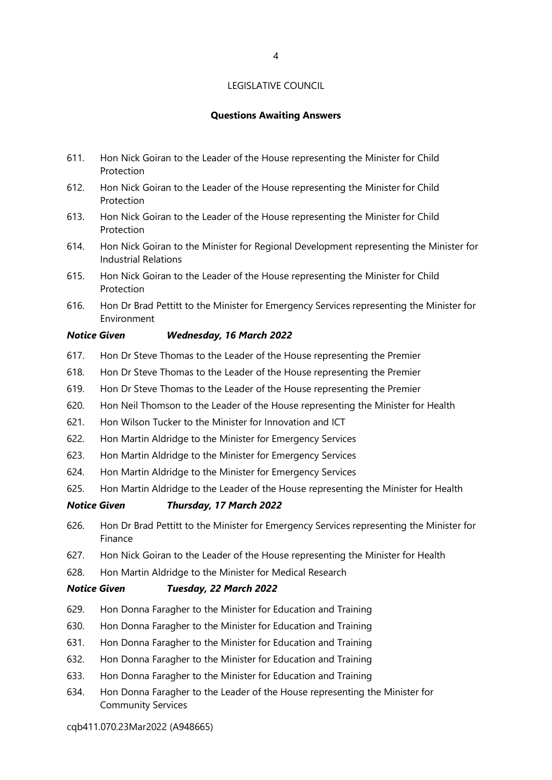#### Questions Awaiting Answers

- 611. Hon Nick Goiran to the Leader of the House representing the Minister for Child Protection
- 612. Hon Nick Goiran to the Leader of the House representing the Minister for Child Protection
- 613. Hon Nick Goiran to the Leader of the House representing the Minister for Child Protection
- 614. Hon Nick Goiran to the Minister for Regional Development representing the Minister for Industrial Relations
- 615. Hon Nick Goiran to the Leader of the House representing the Minister for Child Protection
- 616. Hon Dr Brad Pettitt to the Minister for Emergency Services representing the Minister for Environment

#### Notice Given Wednesday, 16 March 2022

- 617. Hon Dr Steve Thomas to the Leader of the House representing the Premier
- 618. Hon Dr Steve Thomas to the Leader of the House representing the Premier
- 619. Hon Dr Steve Thomas to the Leader of the House representing the Premier
- 620. Hon Neil Thomson to the Leader of the House representing the Minister for Health
- 621. Hon Wilson Tucker to the Minister for Innovation and ICT
- 622. Hon Martin Aldridge to the Minister for Emergency Services
- 623. Hon Martin Aldridge to the Minister for Emergency Services
- 624. Hon Martin Aldridge to the Minister for Emergency Services
- 625. Hon Martin Aldridge to the Leader of the House representing the Minister for Health

#### Notice Given Thursday, 17 March 2022

- 626. Hon Dr Brad Pettitt to the Minister for Emergency Services representing the Minister for Finance
- 627. Hon Nick Goiran to the Leader of the House representing the Minister for Health
- 628. Hon Martin Aldridge to the Minister for Medical Research

#### Notice Given Tuesday, 22 March 2022

- 629. Hon Donna Faragher to the Minister for Education and Training
- 630. Hon Donna Faragher to the Minister for Education and Training
- 631. Hon Donna Faragher to the Minister for Education and Training
- 632. Hon Donna Faragher to the Minister for Education and Training
- 633. Hon Donna Faragher to the Minister for Education and Training
- 634. Hon Donna Faragher to the Leader of the House representing the Minister for Community Services

#### cqb411.070.23Mar2022 (A948665)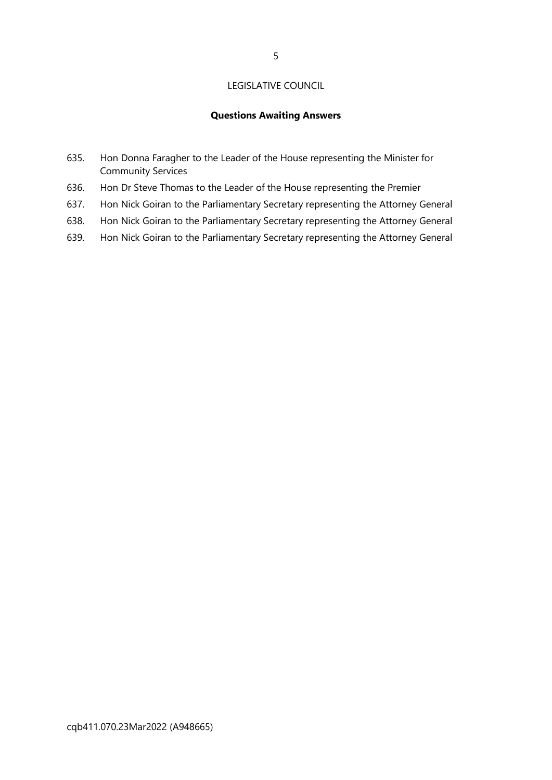#### Questions Awaiting Answers

- 635. Hon Donna Faragher to the Leader of the House representing the Minister for Community Services
- 636. Hon Dr Steve Thomas to the Leader of the House representing the Premier
- 637. Hon Nick Goiran to the Parliamentary Secretary representing the Attorney General
- 638. Hon Nick Goiran to the Parliamentary Secretary representing the Attorney General
- 639. Hon Nick Goiran to the Parliamentary Secretary representing the Attorney General